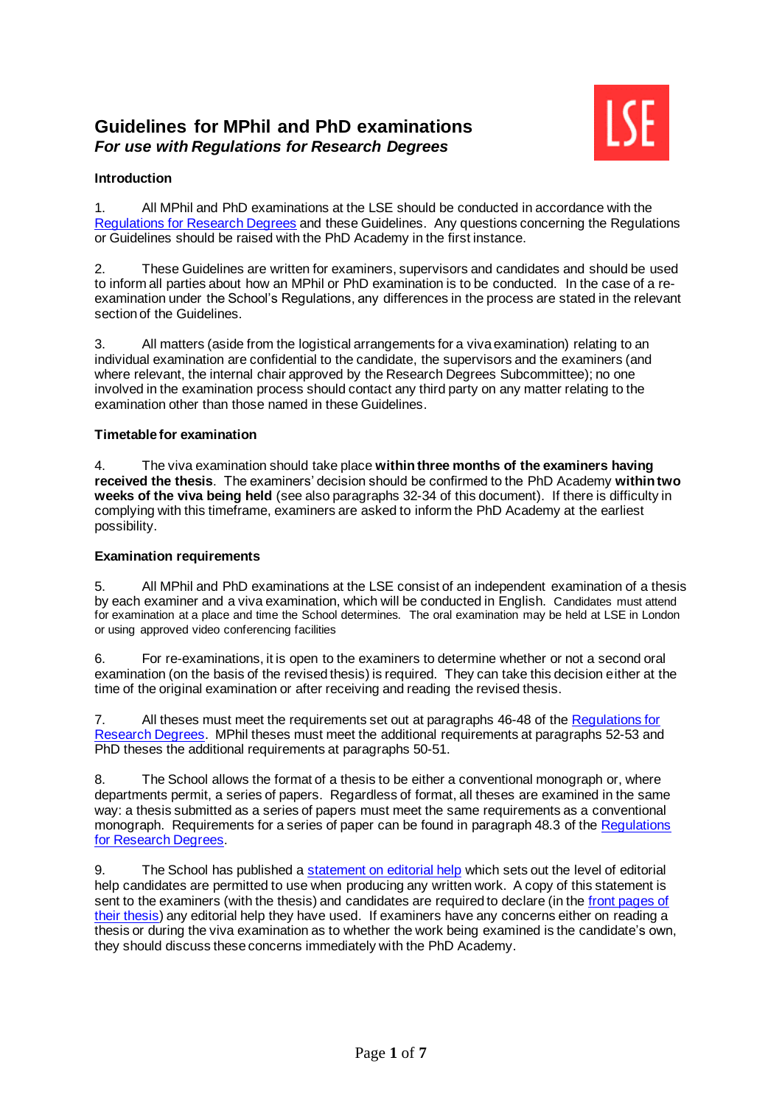# **Guidelines for MPhil and PhD examinations** *For use with Regulations for Research Degrees*



# **Introduction**

1. All MPhil and PhD examinations at the LSE should be conducted in accordance with the [Regulations for Research Degrees](https://info.lse.ac.uk/Staff/Divisions/Academic-Registrars-Division/Teaching-Quality-Assurance-and-Review-Office/Assets/Documents/Calendar/RegulationsForResearchDegrees.pdf) and these Guidelines. Any questions concerning the Regulations or Guidelines should be raised with the PhD Academy in the first instance.

2. These Guidelines are written for examiners, supervisors and candidates and should be used to inform all parties about how an MPhil or PhD examination is to be conducted. In the case of a reexamination under the School's Regulations, any differences in the process are stated in the relevant section of the Guidelines.

3. All matters (aside from the logistical arrangements for a viva examination) relating to an individual examination are confidential to the candidate, the supervisors and the examiners (and where relevant, the internal chair approved by the Research Degrees Subcommittee); no one involved in the examination process should contact any third party on any matter relating to the examination other than those named in these Guidelines.

## **Timetable for examination**

4. The viva examination should take place **within three months of the examiners having received the thesis**. The examiners' decision should be confirmed to the PhD Academy **within two weeks of the viva being held** (see also paragraphs 32-34 of this document). If there is difficulty in complying with this timeframe, examiners are asked to inform the PhD Academy at the earliest possibility.

## **Examination requirements**

5. All MPhil and PhD examinations at the LSE consist of an independent examination of a thesis by each examiner and a viva examination, which will be conducted in English. Candidates must attend for examination at a place and time the School determines. The oral examination may be held at LSE in London or using approved video conferencing facilities

6. For re-examinations, it is open to the examiners to determine whether or not a second oral examination (on the basis of the revised thesis) is required. They can take this decision either at the time of the original examination or after receiving and reading the revised thesis.

7. All theses must meet the requirements set out at paragraphs 46-48 of the [Regulations for](https://info.lse.ac.uk/Staff/Divisions/Academic-Registrars-Division/Teaching-Quality-Assurance-and-Review-Office/Assets/Documents/Calendar/RegulationsForResearchDegrees.pdf)  [Research Degrees.](https://info.lse.ac.uk/Staff/Divisions/Academic-Registrars-Division/Teaching-Quality-Assurance-and-Review-Office/Assets/Documents/Calendar/RegulationsForResearchDegrees.pdf) MPhil theses must meet the additional requirements at paragraphs 52-53 and PhD theses the additional requirements at paragraphs 50-51.

8. The School allows the format of a thesis to be either a conventional monograph or, where departments permit, a series of papers. Regardless of format, all theses are examined in the same way: a thesis submitted as a series of papers must meet the same requirements as a conventional monograph. Requirements for a series of paper can be found in paragraph 48.3 of the [Regulations](https://info.lse.ac.uk/Staff/Divisions/Academic-Registrars-Division/Teaching-Quality-Assurance-and-Review-Office/Assets/Documents/Calendar/RegulationsForResearchDegrees.pdf)  [for Research Degrees.](https://info.lse.ac.uk/Staff/Divisions/Academic-Registrars-Division/Teaching-Quality-Assurance-and-Review-Office/Assets/Documents/Calendar/RegulationsForResearchDegrees.pdf)

9. The School has published a [statement on editorial help](https://info.lse.ac.uk/current-students/phd-academy/assets/documents/StatementOnEditorialHelp.pdf) which sets out the level of editorial help candidates are permitted to use when producing any written work. A copy of this statement is sent to the examiners (with the thesis) and candidates are required to declare (in the [front pages of](https://info.lse.ac.uk/current-students/phd-academy/assets/documents/Template-for-Front-Pages-of-Thesis.pdf)  [their thesis\)](https://info.lse.ac.uk/current-students/phd-academy/assets/documents/Template-for-Front-Pages-of-Thesis.pdf) any editorial help they have used. If examiners have any concerns either on reading a thesis or during the viva examination as to whether the work being examined is the candidate's own, they should discuss these concerns immediately with the PhD Academy.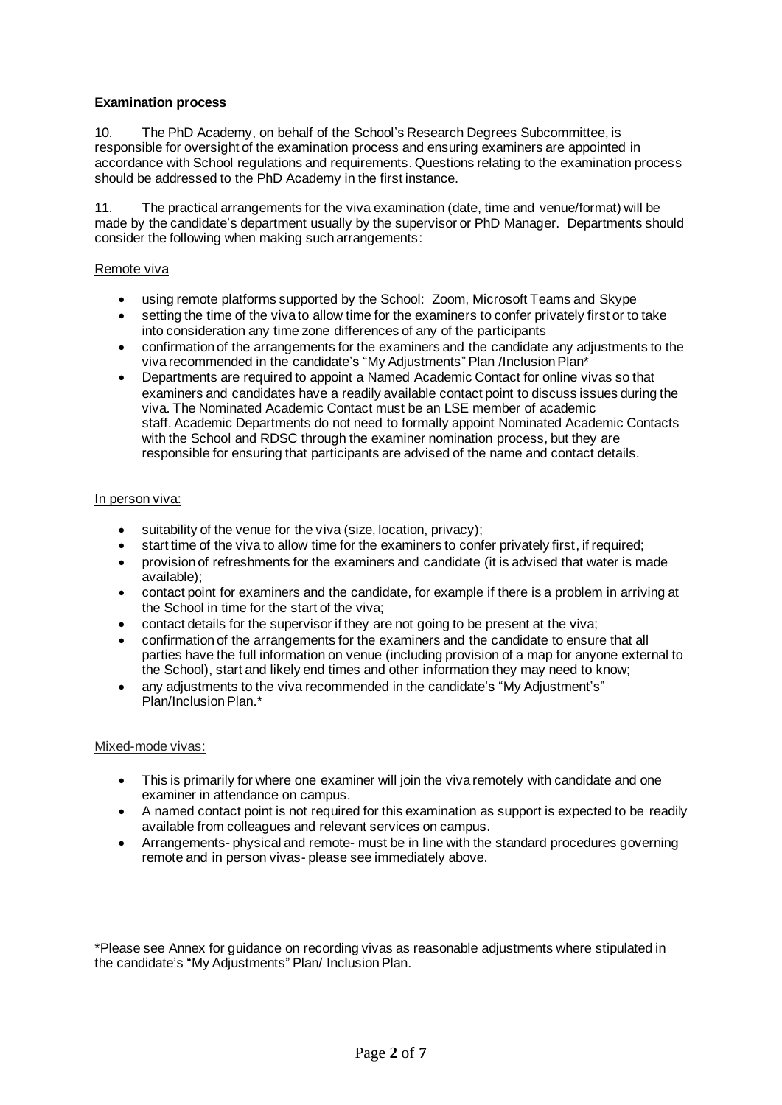# **Examination process**

10. The PhD Academy, on behalf of the School's Research Degrees Subcommittee, is responsible for oversight of the examination process and ensuring examiners are appointed in accordance with School regulations and requirements. Questions relating to the examination process should be addressed to the PhD Academy in the first instance.

11. The practical arrangements for the viva examination (date, time and venue/format) will be made by the candidate's department usually by the supervisor or PhD Manager. Departments should consider the following when making such arrangements:

#### Remote viva

- using remote platforms supported by the School: Zoom, Microsoft Teams and Skype
- setting the time of the viva to allow time for the examiners to confer privately first or to take into consideration any time zone differences of any of the participants
- confirmation of the arrangements for the examiners and the candidate any adjustments to the viva recommended in the candidate's "My Adjustments" Plan /Inclusion Plan\*
- Departments are required to appoint a Named Academic Contact for online vivas so that examiners and candidates have a readily available contact point to discuss issues during the viva. The Nominated Academic Contact must be an LSE member of academic staff. Academic Departments do not need to formally appoint Nominated Academic Contacts with the School and RDSC through the examiner nomination process, but they are responsible for ensuring that participants are advised of the name and contact details.

#### In person viva:

- suitability of the venue for the viva (size, location, privacy);
- start time of the viva to allow time for the examiners to confer privately first, if required;
- provision of refreshments for the examiners and candidate (it is advised that water is made available);
- contact point for examiners and the candidate, for example if there is a problem in arriving at the School in time for the start of the viva;
- contact details for the supervisor if they are not going to be present at the viva;
- confirmation of the arrangements for the examiners and the candidate to ensure that all parties have the full information on venue (including provision of a map for anyone external to the School), start and likely end times and other information they may need to know;
- any adjustments to the viva recommended in the candidate's "My Adjustment's" Plan/Inclusion Plan.\*

#### Mixed-mode vivas:

- This is primarily for where one examiner will join the viva remotely with candidate and one examiner in attendance on campus.
- A named contact point is not required for this examination as support is expected to be readily available from colleagues and relevant services on campus.
- Arrangements- physical and remote- must be in line with the standard procedures governing remote and in person vivas- please see immediately above.

\*Please see Annex for guidance on recording vivas as reasonable adjustments where stipulated in the candidate's "My Adjustments" Plan/ Inclusion Plan.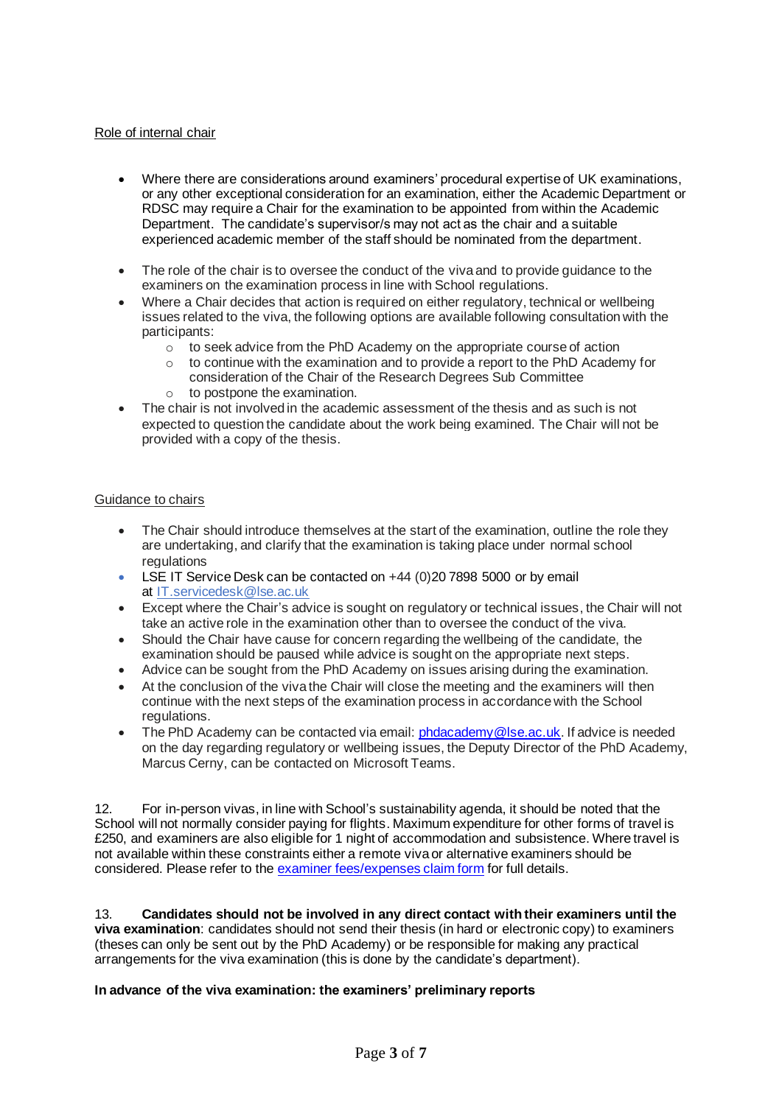## Role of internal chair

- Where there are considerations around examiners' procedural expertise of UK examinations, or any other exceptional consideration for an examination, either the Academic Department or RDSC may require a Chair for the examination to be appointed from within the Academic Department. The candidate's supervisor/s may not act as the chair and a suitable experienced academic member of the staff should be nominated from the department.
- The role of the chair is to oversee the conduct of the viva and to provide guidance to the examiners on the examination process in line with School regulations.
- Where a Chair decides that action is required on either regulatory, technical or wellbeing issues related to the viva, the following options are available following consultation with the participants:
	- o to seek advice from the PhD Academy on the appropriate course of action
	- $\circ$  to continue with the examination and to provide a report to the PhD Academy for consideration of the Chair of the Research Degrees Sub Committee
	- o to postpone the examination.
- The chair is not involved in the academic assessment of the thesis and as such is not expected to question the candidate about the work being examined. The Chair will not be provided with a copy of the thesis.

## Guidance to chairs

- The Chair should introduce themselves at the start of the examination, outline the role they are undertaking, and clarify that the examination is taking place under normal school regulations
- LSE IT Service Desk can be contacted on +44 (0) 20 7898 5000 or by email at [IT.servicedesk@lse.ac.uk](mailto:IT.servicedesk@lse.ac.uk)
- Except where the Chair's advice is sought on regulatory or technical issues, the Chair will not take an active role in the examination other than to oversee the conduct of the viva.
- Should the Chair have cause for concern regarding the wellbeing of the candidate, the examination should be paused while advice is sought on the appropriate next steps.
- Advice can be sought from the PhD Academy on issues arising during the examination.
- At the conclusion of the viva the Chair will close the meeting and the examiners will then continue with the next steps of the examination process in accordance with the School regulations.
- The PhD Academy can be contacted via email: [phdacademy@lse.ac.uk.](mailto:phdacademy@lse.ac.uk) If advice is needed on the day regarding regulatory or wellbeing issues, the Deputy Director of the PhD Academy, Marcus Cerny, can be contacted on Microsoft Teams.

12. For in-person vivas, in line with School's sustainability agenda, it should be noted that the School will not normally consider paying for flights. Maximum expenditure for other forms of travel is £250, and examiners are also eligible for 1 night of accommodation and subsistence. Where travel is not available within these constraints either a remote viva or alternative examiners should be considered. Please refer to the [examiner fees/expenses claim](https://info.lse.ac.uk/current-students/phd-academy/phd-journey/a-z-guidance) form for full details.

13. **Candidates should not be involved in any direct contact with their examiners until the viva examination**: candidates should not send their thesis (in hard or electronic copy) to examiners (theses can only be sent out by the PhD Academy) or be responsible for making any practical arrangements for the viva examination (this is done by the candidate's department).

## **In advance of the viva examination: the examiners' preliminary reports**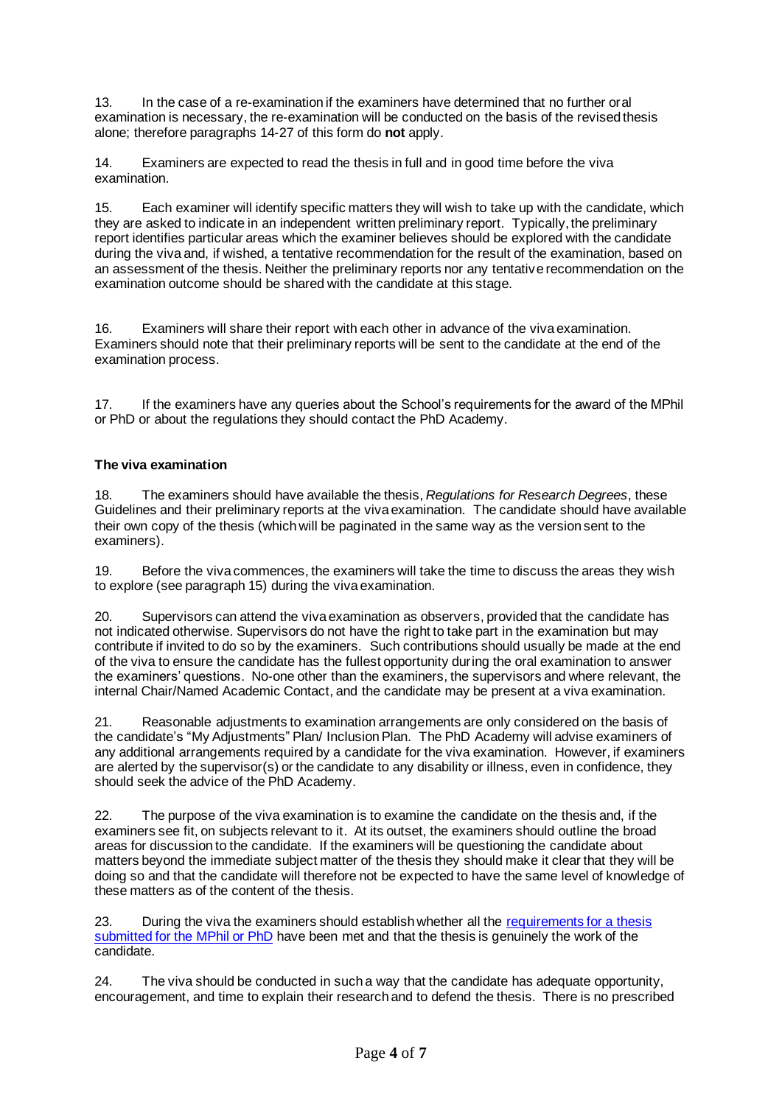13. In the case of a re-examination if the examiners have determined that no further oral examination is necessary, the re-examination will be conducted on the basis of the revised thesis alone; therefore paragraphs 14-27 of this form do **not** apply.

14. Examiners are expected to read the thesis in full and in good time before the viva examination.

15. Each examiner will identify specific matters they will wish to take up with the candidate, which they are asked to indicate in an independent written preliminary report. Typically, the preliminary report identifies particular areas which the examiner believes should be explored with the candidate during the viva and, if wished, a tentative recommendation for the result of the examination, based on an assessment of the thesis. Neither the preliminary reports nor any tentative recommendation on the examination outcome should be shared with the candidate at this stage.

16. Examiners will share their report with each other in advance of the viva examination. Examiners should note that their preliminary reports will be sent to the candidate at the end of the examination process.

17. If the examiners have any queries about the School's requirements for the award of the MPhil or PhD or about the regulations they should contact the PhD Academy.

# **The viva examination**

18. The examiners should have available the thesis, *Regulations for Research Degrees*, these Guidelines and their preliminary reports at the viva examination. The candidate should have available their own copy of the thesis (which will be paginated in the same way as the version sent to the examiners).

19. Before the viva commences, the examiners will take the time to discuss the areas they wish to explore (see paragraph 15) during the viva examination.

20. Supervisors can attend the viva examination as observers, provided that the candidate has not indicated otherwise. Supervisors do not have the right to take part in the examination but may contribute if invited to do so by the examiners. Such contributions should usually be made at the end of the viva to ensure the candidate has the fullest opportunity during the oral examination to answer the examiners' questions. No-one other than the examiners, the supervisors and where relevant, the internal Chair/Named Academic Contact, and the candidate may be present at a viva examination.

21. Reasonable adjustments to examination arrangements are only considered on the basis of the candidate's "My Adjustments" Plan/ Inclusion Plan. The PhD Academy will advise examiners of any additional arrangements required by a candidate for the viva examination. However, if examiners are alerted by the supervisor(s) or the candidate to any disability or illness, even in confidence, they should seek the advice of the PhD Academy.

22. The purpose of the viva examination is to examine the candidate on the thesis and, if the examiners see fit, on subjects relevant to it. At its outset, the examiners should outline the broad areas for discussion to the candidate. If the examiners will be questioning the candidate about matters beyond the immediate subject matter of the thesis they should make it clear that they will be doing so and that the candidate will therefore not be expected to have the same level of knowledge of these matters as of the content of the thesis.

23. During the viva the examiners should establish whether all the requirements for a thesis [submitted for the MPhil or PhD](https://info.lse.ac.uk/Staff/Divisions/Academic-Registrars-Division/Teaching-Quality-Assurance-and-Review-Office/Assets/Documents/Calendar/RegulationsForResearchDegrees.pdf) have been met and that the thesis is genuinely the work of the candidate.

24. The viva should be conducted in such a way that the candidate has adequate opportunity, encouragement, and time to explain their research and to defend the thesis. There is no prescribed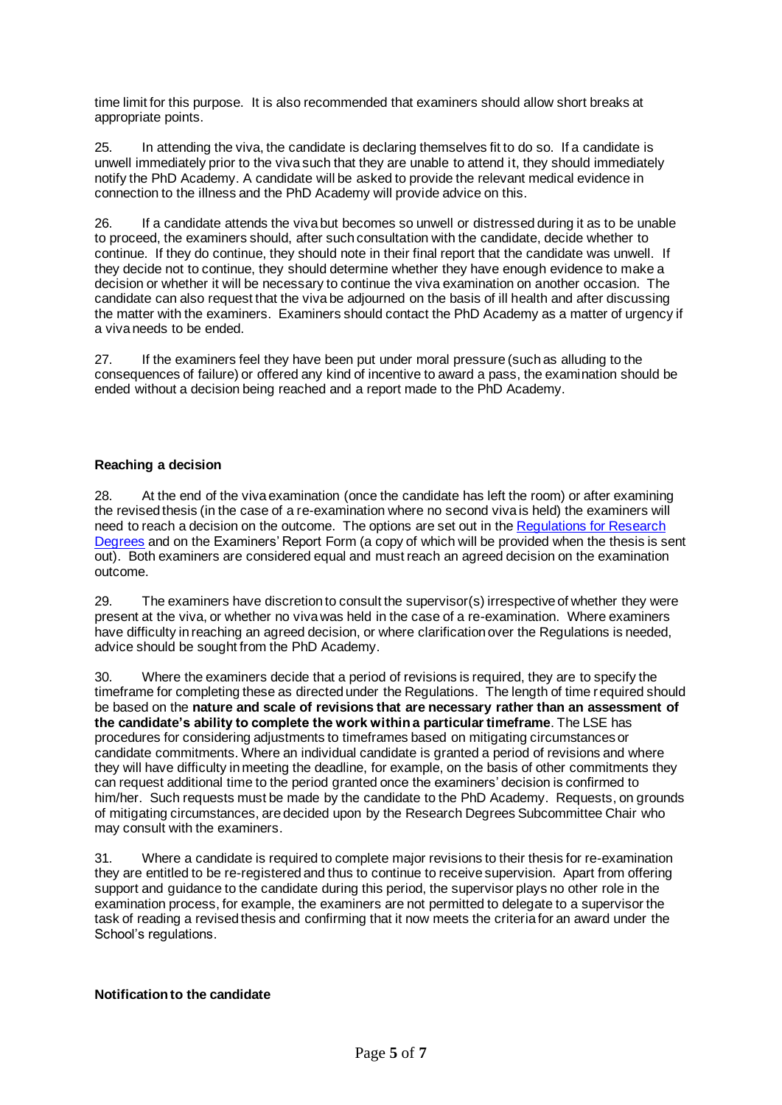time limit for this purpose. It is also recommended that examiners should allow short breaks at appropriate points.

25. In attending the viva, the candidate is declaring themselves fit to do so. If a candidate is unwell immediately prior to the viva such that they are unable to attend it, they should immediately notify the PhD Academy. A candidate will be asked to provide the relevant medical evidence in connection to the illness and the PhD Academy will provide advice on this.

26. If a candidate attends the viva but becomes so unwell or distressed during it as to be unable to proceed, the examiners should, after such consultation with the candidate, decide whether to continue. If they do continue, they should note in their final report that the candidate was unwell. If they decide not to continue, they should determine whether they have enough evidence to make a decision or whether it will be necessary to continue the viva examination on another occasion. The candidate can also request that the viva be adjourned on the basis of ill health and after discussing the matter with the examiners. Examiners should contact the PhD Academy as a matter of urgency if a viva needs to be ended.

27. If the examiners feel they have been put under moral pressure (such as alluding to the consequences of failure) or offered any kind of incentive to award a pass, the examination should be ended without a decision being reached and a report made to the PhD Academy.

# **Reaching a decision**

28. At the end of the viva examination (once the candidate has left the room) or after examining the revised thesis (in the case of a re-examination where no second viva is held) the examiners will need to reach a decision on the outcome. The options are set out in the [Regulations for Research](https://info.lse.ac.uk/Staff/Divisions/Academic-Registrars-Division/Teaching-Quality-Assurance-and-Review-Office/Assets/Documents/Calendar/RegulationsForResearchDegrees.pdf)  [Degrees](https://info.lse.ac.uk/Staff/Divisions/Academic-Registrars-Division/Teaching-Quality-Assurance-and-Review-Office/Assets/Documents/Calendar/RegulationsForResearchDegrees.pdf) and on th[e Examiners' Report Form](http://www2.lse.ac.uk/intranet/students/researchStudents/researchDegrees/Information%20for%20examiners.aspx) (a copy of which will be provided when the thesis is sent out). Both examiners are considered equal and must reach an agreed decision on the examination outcome.

29. The examiners have discretion to consult the supervisor(s) irrespective of whether they were present at the viva, or whether no viva was held in the case of a re-examination. Where examiners have difficulty in reaching an agreed decision, or where clarification over the Regulations is needed, advice should be sought from the PhD Academy.

30. Where the examiners decide that a period of revisions is required, they are to specify the timeframe for completing these as directed under the Regulations. The length of time required should be based on the **nature and scale of revisions that are necessary rather than an assessment of the candidate's ability to complete the work within a particular timeframe**. The LSE has procedures for considering adjustments to timeframes based on mitigating circumstances or candidate commitments. Where an individual candidate is granted a period of revisions and where they will have difficulty in meeting the deadline, for example, on the basis of other commitments they can request additional time to the period granted once the examiners' decision is confirmed to him/her. Such requests must be made by the candidate to the PhD Academy. Requests, on grounds of mitigating circumstances, are decided upon by the Research Degrees Subcommittee Chair who may consult with the examiners.

31. Where a candidate is required to complete major revisions to their thesis for re-examination they are entitled to be re-registered and thus to continue to receive supervision. Apart from offering support and guidance to the candidate during this period, the supervisor plays no other role in the examination process, for example, the examiners are not permitted to delegate to a supervisor the task of reading a revised thesis and confirming that it now meets the criteria for an award under the School's regulations.

## **Notification to the candidate**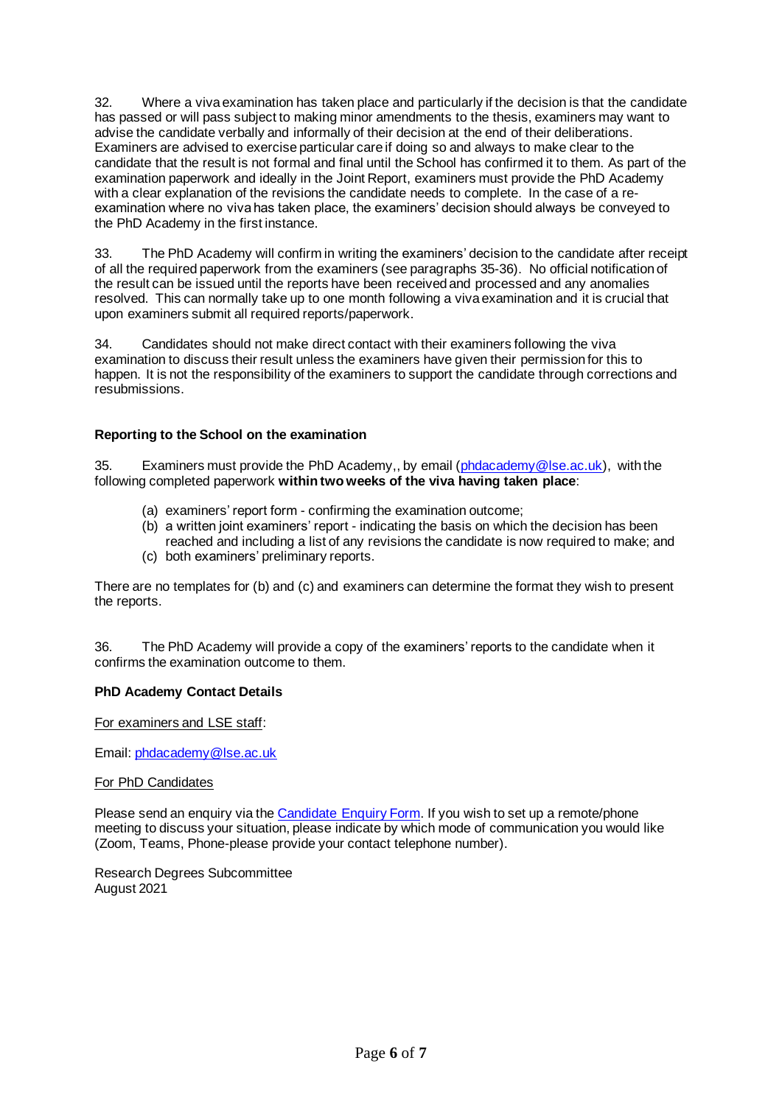32. Where a viva examination has taken place and particularly if the decision is that the candidate has passed or will pass subject to making minor amendments to the thesis, examiners may want to advise the candidate verbally and informally of their decision at the end of their deliberations. Examiners are advised to exercise particular care if doing so and always to make clear to the candidate that the result is not formal and final until the School has confirmed it to them. As part of the examination paperwork and ideally in the Joint Report, examiners must provide the PhD Academy with a clear explanation of the revisions the candidate needs to complete. In the case of a reexamination where no viva has taken place, the examiners' decision should always be conveyed to the PhD Academy in the first instance.

33. The PhD Academy will confirm in writing the examiners' decision to the candidate after receipt of all the required paperwork from the examiners (see paragraphs 35-36). No official notification of the result can be issued until the reports have been received and processed and any anomalies resolved. This can normally take up to one month following a viva examination and it is crucial that upon examiners submit all required reports/paperwork.

34. Candidates should not make direct contact with their examiners following the viva examination to discuss their result unless the examiners have given their permission for this to happen. It is not the responsibility of the examiners to support the candidate through corrections and resubmissions.

# **Reporting to the School on the examination**

35. Examiners must provide the PhD Academy,, by email [\(phdacademy@lse.ac.uk\)](mailto:phdacademy@lse.ac.uk), with the following completed paperwork **within two weeks of the viva having taken place**:

- (a) examiners' report form confirming the examination outcome;
- (b) a written joint examiners' report indicating the basis on which the decision has been reached and including a list of any revisions the candidate is now required to make; and
- (c) both examiners' preliminary reports.

There are no templates for (b) and (c) and examiners can determine the format they wish to present the reports.

36. The PhD Academy will provide a copy of the examiners' reports to the candidate when it confirms the examination outcome to them.

## **PhD Academy Contact Details**

For examiners and LSE staff:

Email[: phdacademy@lse.ac.uk](mailto:phdacademy@lse.ac.uk)

#### For PhD Candidates

Please send an enquiry via the [Candidate](https://auth.lse.ac.uk/auth/login?service=https%3A%2F%2Fgate.library.lse.ac.uk%2Fidp%2FAuthn%2FRemoteUser) Enquiry Form. If you wish to set up a remote/phone meeting to discuss your situation, please indicate by which mode of communication you would like (Zoom, Teams, Phone-please provide your contact telephone number).

Research Degrees Subcommittee August 2021